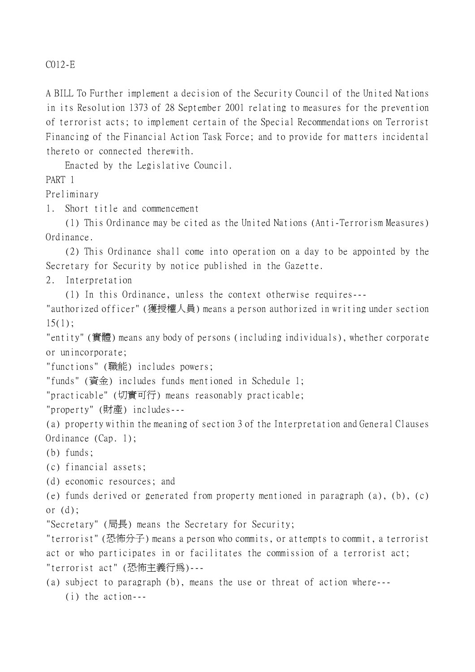C012-E

A BILL To Further implement a decision of the Security Council of the United Nations in its Resolution 1373 of 28 September 2001 relating to measures for the prevention of terrorist acts; to implement certain of the Special Recommendations on Terrorist Financing of the Financial Action Task Force; and to provide for matters incidental thereto or connected therewith.

Enacted by the Legislative Council.

PART 1

Preliminary

1. Short title and commencement

(1) This Ordinance may be cited as the United Nations (Anti-Terrorism Measures) Ordinance.

(2) This Ordinance shall come into operation on a day to be appointed by the Secretary for Security by notice published in the Gazette.

2. Interpretation

(1) In this Ordinance, unless the context otherwise requires---

"authorized officer" (獲授權㆟員) means a person authorized in writing under section  $15(1);$ 

"entity" (實體) means any body of persons (including individuals), whether corporate or unincorporate;

"functions" (職能) includes powers;

"funds" (資金) includes funds mentioned in Schedule 1;

"practicable" (切實可行) means reasonably practicable;

"property" (財產) includes---

(a) property within the meaning of section 3 of the Interpretation and General Clauses Ordinance (Cap. 1);

(b) funds;

(c) financial assets;

(d) economic resources; and

(e) funds derived or generated from property mentioned in paragraph (a), (b), (c) or (d);

"Secretary" (局長) means the Secretary for Security;

"terrorist" (恐怖分子) means a person who commits, or attempts to commit, a terrorist act or who participates in or facilitates the commission of a terrorist act; "terrorist act" (恐怖主義行為)---

(a) subject to paragraph (b), means the use or threat of action where--- (i) the action---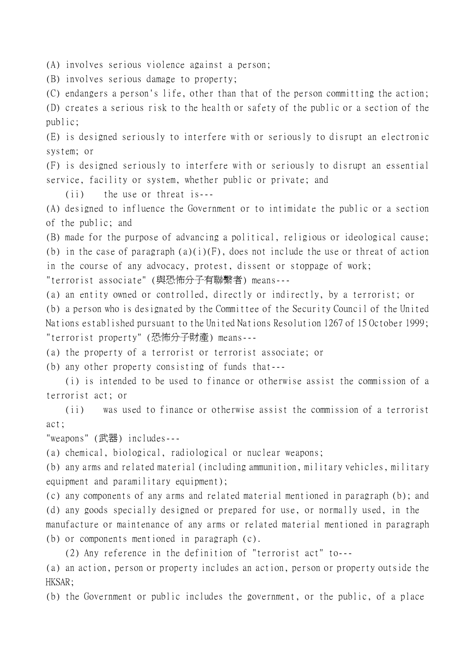(A) involves serious violence against a person;

(B) involves serious damage to property;

(C) endangers a person's life, other than that of the person committing the action; (D) creates a serious risk to the health or safety of the public or a section of the public;

(E) is designed seriously to interfere with or seriously to disrupt an electronic system; or

(F) is designed seriously to interfere with or seriously to disrupt an essential service, facility or system, whether public or private; and

(ii) the use or threat is---

(A) designed to influence the Government or to intimidate the public or a section of the public; and

(B) made for the purpose of advancing a political, religious or ideological cause; (b) in the case of paragraph  $(a)(i)(F)$ , does not include the use or threat of action in the course of any advocacy, protest, dissent or stoppage of work;

"terrorist associate" (與恐怖分子有聯繫者) means---

(a) an entity owned or controlled, directly or indirectly, by a terrorist; or

(b) a person who is designated by the Committee of the Security Council of the United Nations established pursuant to the United Nations Resolution 1267 of 15 October 1999; "terrorist property" (恐怖分子財產) means---

(a) the property of a terrorist or terrorist associate; or

(b) any other property consisting of funds that---

(i) is intended to be used to finance or otherwise assist the commission of a terrorist act; or

(ii) was used to finance or otherwise assist the commission of a terrorist act;

"weapons" (武器) includes---

(a) chemical, biological, radiological or nuclear weapons;

(b) any arms and related material (including ammunition, military vehicles, military equipment and paramilitary equipment);

(c) any components of any arms and related material mentioned in paragraph (b); and (d) any goods specially designed or prepared for use, or normally used, in the manufacture or maintenance of any arms or related material mentioned in paragraph (b) or components mentioned in paragraph (c).

(2) Any reference in the definition of "terrorist act" to---

(a) an action, person or property includes an action, person or property outside the HKSAR;

(b) the Government or public includes the government, or the public, of a place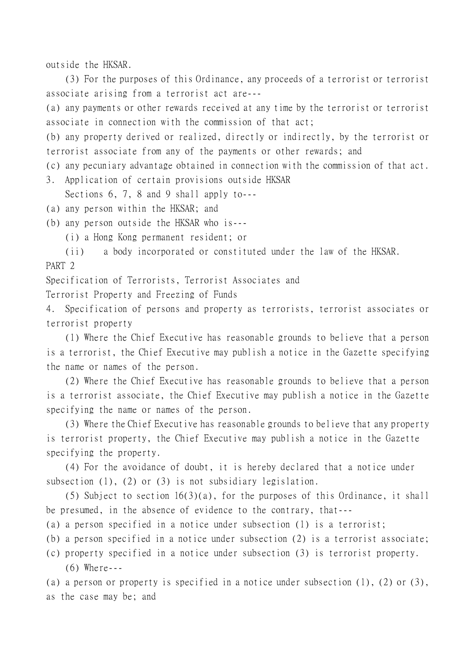outside the HKSAR.

(3) For the purposes of this Ordinance, any proceeds of a terrorist or terrorist associate arising from a terrorist act are---

(a) any payments or other rewards received at any time by the terrorist or terrorist associate in connection with the commission of that act;

(b) any property derived or realized, directly or indirectly, by the terrorist or terrorist associate from any of the payments or other rewards; and

(c) any pecuniary advantage obtained in connection with the commission of that act. 3. Application of certain provisions outside HKSAR

Sections 6, 7, 8 and 9 shall apply to---

(a) any person within the HKSAR; and

(b) any person outside the HKSAR who is---

(i) a Hong Kong permanent resident; or

(ii) a body incorporated or constituted under the law of the HKSAR. PART 2

Specification of Terrorists, Terrorist Associates and

Terrorist Property and Freezing of Funds

4. Specification of persons and property as terrorists, terrorist associates or terrorist property

(1) Where the Chief Executive has reasonable grounds to believe that a person is a terrorist, the Chief Executive may publish a notice in the Gazette specifying the name or names of the person.

(2) Where the Chief Executive has reasonable grounds to believe that a person is a terrorist associate, the Chief Executive may publish a notice in the Gazette specifying the name or names of the person.

(3) Where the Chief Executive has reasonable grounds to believe that any property is terrorist property, the Chief Executive may publish a notice in the Gazette specifying the property.

(4) For the avoidance of doubt, it is hereby declared that a notice under subsection (1), (2) or (3) is not subsidiary legislation.

(5) Subject to section 16(3)(a), for the purposes of this Ordinance, it shall be presumed, in the absence of evidence to the contrary, that---

(a) a person specified in a notice under subsection (1) is a terrorist;

(b) a person specified in a notice under subsection (2) is a terrorist associate;

(c) property specified in a notice under subsection (3) is terrorist property. (6) Where---

(a) a person or property is specified in a notice under subsection (1), (2) or (3), as the case may be; and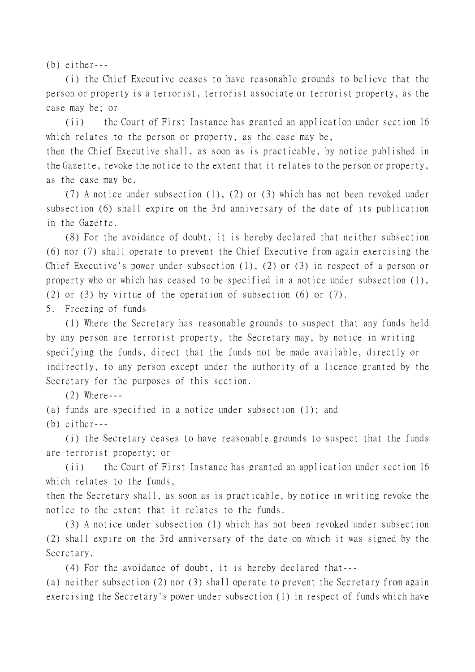(b) either---

(i) the Chief Executive ceases to have reasonable grounds to believe that the person or property is a terrorist, terrorist associate or terrorist property, as the case may be; or

(ii) the Court of First Instance has granted an application under section 16 which relates to the person or property, as the case may be,

then the Chief Executive shall, as soon as is practicable, by notice published in the Gazette, revoke the notice to the extent that it relates to the person or property, as the case may be.

(7) A notice under subsection (1), (2) or (3) which has not been revoked under subsection (6) shall expire on the 3rd anniversary of the date of its publication in the Gazette.

(8) For the avoidance of doubt, it is hereby declared that neither subsection (6) nor (7) shall operate to prevent the Chief Executive from again exercising the Chief Executive's power under subsection (1), (2) or (3) in respect of a person or property who or which has ceased to be specified in a notice under subsection (1), (2) or (3) by virtue of the operation of subsection (6) or (7).

5. Freezing of funds

(1) Where the Secretary has reasonable grounds to suspect that any funds held by any person are terrorist property, the Secretary may, by notice in writing specifying the funds, direct that the funds not be made available, directly or indirectly, to any person except under the authority of a licence granted by the Secretary for the purposes of this section.

(2) Where---

(a) funds are specified in a notice under subsection (1); and

(b) either---

(i) the Secretary ceases to have reasonable grounds to suspect that the funds are terrorist property; or

(ii) the Court of First Instance has granted an application under section 16 which relates to the funds,

then the Secretary shall, as soon as is practicable, by notice in writing revoke the notice to the extent that it relates to the funds.

(3) A notice under subsection (1) which has not been revoked under subsection (2) shall expire on the 3rd anniversary of the date on which it was signed by the Secretary.

(4) For the avoidance of doubt, it is hereby declared that---

(a) neither subsection (2) nor (3) shall operate to prevent the Secretary from again exercising the Secretary's power under subsection (1) in respect of funds which have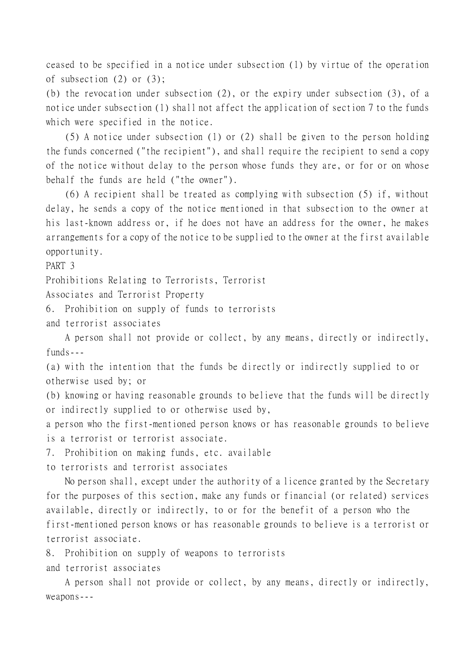ceased to be specified in a notice under subsection (1) by virtue of the operation of subsection (2) or (3);

(b) the revocation under subsection (2), or the expiry under subsection (3), of a notice under subsection (1) shall not affect the application of section 7 to the funds which were specified in the notice.

(5) A notice under subsection (1) or (2) shall be given to the person holding the funds concerned ("the recipient"), and shall require the recipient to send a copy of the notice without delay to the person whose funds they are, or for or on whose behalf the funds are held ("the owner").

(6) A recipient shall be treated as complying with subsection (5) if, without delay, he sends a copy of the notice mentioned in that subsection to the owner at his last-known address or, if he does not have an address for the owner, he makes arrangements for a copy of the notice to be supplied to the owner at the first available opportunity.

PART 3

Prohibitions Relating to Terrorists, Terrorist

Associates and Terrorist Property

6. Prohibition on supply of funds to terrorists

and terrorist associates

A person shall not provide or collect, by any means, directly or indirectly, funds---

(a) with the intention that the funds be directly or indirectly supplied to or otherwise used by; or

(b) knowing or having reasonable grounds to believe that the funds will be directly or indirectly supplied to or otherwise used by,

a person who the first-mentioned person knows or has reasonable grounds to believe is a terrorist or terrorist associate.

7. Prohibition on making funds, etc. available

to terrorists and terrorist associates

No person shall, except under the authority of a licence granted by the Secretary for the purposes of this section, make any funds or financial (or related) services available, directly or indirectly, to or for the benefit of a person who the first-mentioned person knows or has reasonable grounds to believe is a terrorist or terrorist associate.

8. Prohibition on supply of weapons to terrorists and terrorist associates

A person shall not provide or collect, by any means, directly or indirectly, weapons---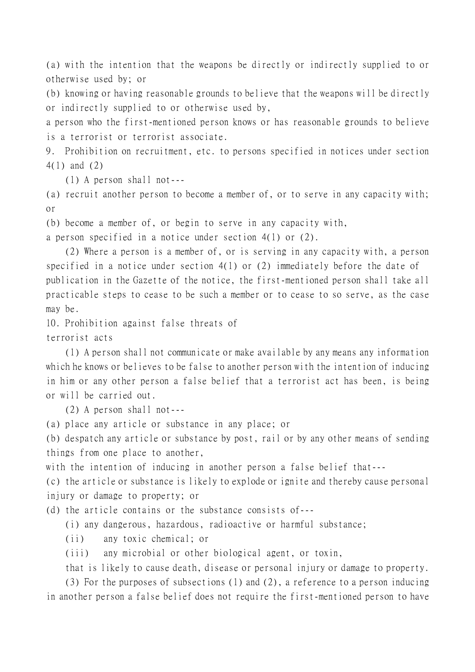(a) with the intention that the weapons be directly or indirectly supplied to or otherwise used by; or

(b) knowing or having reasonable grounds to believe that the weapons will be directly or indirectly supplied to or otherwise used by,

a person who the first-mentioned person knows or has reasonable grounds to believe is a terrorist or terrorist associate.

9. Prohibition on recruitment, etc. to persons specified in notices under section 4(1) and (2)

(1) A person shall not---

(a) recruit another person to become a member of, or to serve in any capacity with; or

(b) become a member of, or begin to serve in any capacity with,

a person specified in a notice under section 4(1) or (2).

(2) Where a person is a member of, or is serving in any capacity with, a person specified in a notice under section 4(1) or (2) immediately before the date of publication in the Gazette of the notice, the first-mentioned person shall take all practicable steps to cease to be such a member or to cease to so serve, as the case may be.

10. Prohibition against false threats of

terrorist acts

(1) A person shall not communicate or make available by any means any information which he knows or believes to be false to another person with the intention of inducing in him or any other person a false belief that a terrorist act has been, is being or will be carried out.

(2) A person shall not---

(a) place any article or substance in any place; or

(b) despatch any article or substance by post, rail or by any other means of sending things from one place to another,

with the intention of inducing in another person a false belief that---

(c) the article or substance is likely to explode or ignite and thereby cause personal injury or damage to property; or

(d) the article contains or the substance consists of---

(i) any dangerous, hazardous, radioactive or harmful substance;

(ii) any toxic chemical; or

(iii) any microbial or other biological agent, or toxin,

that is likely to cause death, disease or personal injury or damage to property.

(3) For the purposes of subsections (1) and (2), a reference to a person inducing in another person a false belief does not require the first-mentioned person to have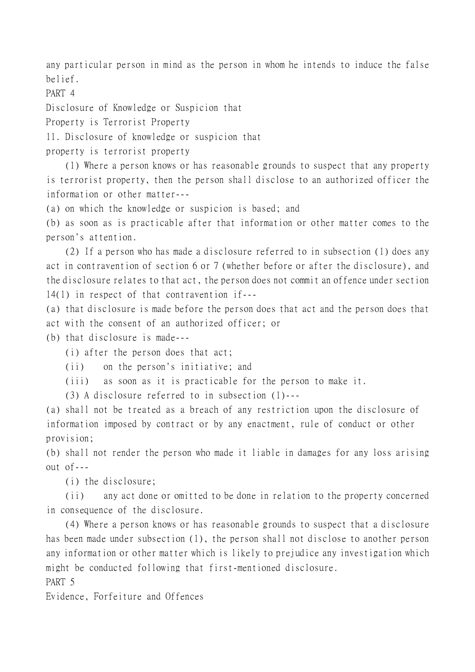any particular person in mind as the person in whom he intends to induce the false belief.

PART 4

Disclosure of Knowledge or Suspicion that

Property is Terrorist Property

11. Disclosure of knowledge or suspicion that

property is terrorist property

(1) Where a person knows or has reasonable grounds to suspect that any property is terrorist property, then the person shall disclose to an authorized officer the information or other matter---

(a) on which the knowledge or suspicion is based; and

(b) as soon as is practicable after that information or other matter comes to the person's attention.

(2) If a person who has made a disclosure referred to in subsection (1) does any act in contravention of section 6 or 7 (whether before or after the disclosure), and the disclosure relates to that act, the person does not commit an offence under section 14(1) in respect of that contravention if---

(a) that disclosure is made before the person does that act and the person does that act with the consent of an authorized officer; or

(b) that disclosure is made---

(i) after the person does that act;

(ii) on the person's initiative; and

(iii) as soon as it is practicable for the person to make it.

(3) A disclosure referred to in subsection (1)---

(a) shall not be treated as a breach of any restriction upon the disclosure of information imposed by contract or by any enactment, rule of conduct or other provision;

(b) shall not render the person who made it liable in damages for any loss arising out of---

(i) the disclosure;

(ii) any act done or omitted to be done in relation to the property concerned in consequence of the disclosure.

(4) Where a person knows or has reasonable grounds to suspect that a disclosure has been made under subsection (1), the person shall not disclose to another person any information or other matter which is likely to prejudice any investigation which might be conducted following that first-mentioned disclosure.

PART 5

Evidence, Forfeiture and Offences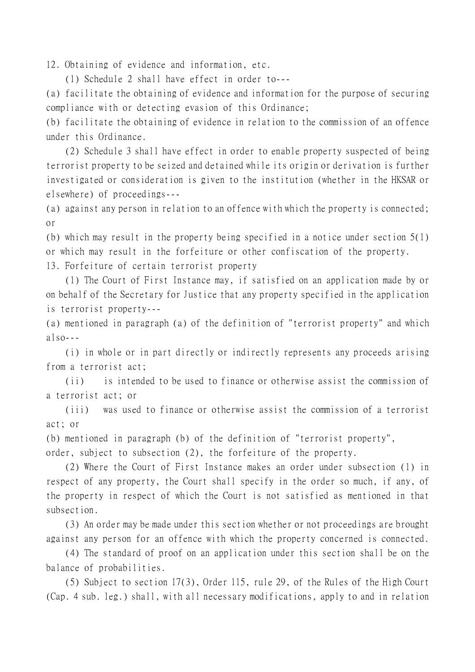12. Obtaining of evidence and information, etc.

(1) Schedule 2 shall have effect in order to---

(a) facilitate the obtaining of evidence and information for the purpose of securing compliance with or detecting evasion of this Ordinance;

(b) facilitate the obtaining of evidence in relation to the commission of an offence under this Ordinance.

(2) Schedule 3 shall have effect in order to enable property suspected of being terrorist property to be seized and detained while its origin or derivation is further investigated or consideration is given to the institution (whether in the HKSAR or elsewhere) of proceedings---

(a) against any person in relation to an offence with which the property is connected; or

(b) which may result in the property being specified in a notice under section 5(1) or which may result in the forfeiture or other confiscation of the property.

13. Forfeiture of certain terrorist property

(1) The Court of First Instance may, if satisfied on an application made by or on behalf of the Secretary for Justice that any property specified in the application is terrorist property---

(a) mentioned in paragraph (a) of the definition of "terrorist property" and which  $a \log_2$ ---

(i) in whole or in part directly or indirectly represents any proceeds arising from a terrorist act;

(ii) is intended to be used to finance or otherwise assist the commission of a terrorist act; or

(iii) was used to finance or otherwise assist the commission of a terrorist act; or

(b) mentioned in paragraph (b) of the definition of "terrorist property",

order, subject to subsection (2), the forfeiture of the property.

(2) Where the Court of First Instance makes an order under subsection (1) in respect of any property, the Court shall specify in the order so much, if any, of the property in respect of which the Court is not satisfied as mentioned in that subsection.

(3) An order may be made under this section whether or not proceedings are brought against any person for an offence with which the property concerned is connected.

(4) The standard of proof on an application under this section shall be on the balance of probabilities.

(5) Subject to section 17(3), Order 115, rule 29, of the Rules of the High Court (Cap. 4 sub. leg.) shall, with all necessary modifications, apply to and in relation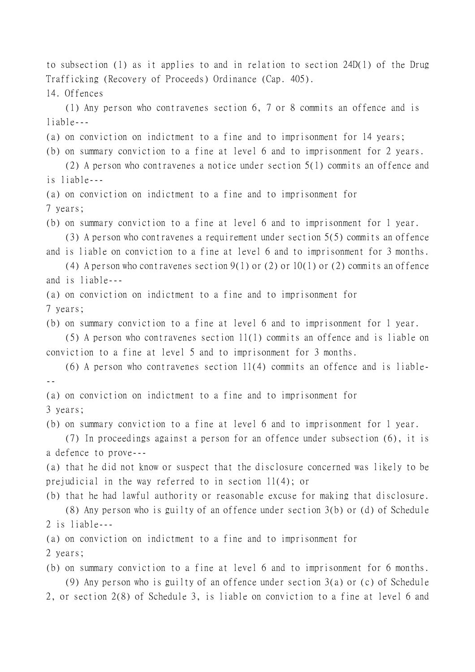to subsection (1) as it applies to and in relation to section 24D(1) of the Drug Trafficking (Recovery of Proceeds) Ordinance (Cap. 405).

14. Offences

(1) Any person who contravenes section 6, 7 or 8 commits an offence and is liable---

- (a) on conviction on indictment to a fine and to imprisonment for 14 years;
- (b) on summary conviction to a fine at level 6 and to imprisonment for 2 years.

(2) A person who contravenes a notice under section 5(1) commits an offence and is liable---

(a) on conviction on indictment to a fine and to imprisonment for

7 years;

(b) on summary conviction to a fine at level 6 and to imprisonment for 1 year. (3) A person who contravenes a requirement under section 5(5) commits an offence

and is liable on conviction to a fine at level 6 and to imprisonment for 3 months.

(4) A person who contravenes section  $9(1)$  or (2) or 10(1) or (2) commits an offence and is liable---

(a) on conviction on indictment to a fine and to imprisonment for

7 years;

(b) on summary conviction to a fine at level 6 and to imprisonment for 1 year.

(5) A person who contravenes section 11(1) commits an offence and is liable on conviction to a fine at level 5 and to imprisonment for 3 months.

 $(6)$  A person who contravenes section 11(4) commits an offence and is liable---

(a) on conviction on indictment to a fine and to imprisonment for

3 years;

(b) on summary conviction to a fine at level 6 and to imprisonment for 1 year.

(7) In proceedings against a person for an offence under subsection (6), it is a defence to prove---

(a) that he did not know or suspect that the disclosure concerned was likely to be prejudicial in the way referred to in section 11(4); or

(b) that he had lawful authority or reasonable excuse for making that disclosure.

(8) Any person who is guilty of an offence under section 3(b) or (d) of Schedule 2 is liable---

(a) on conviction on indictment to a fine and to imprisonment for 2 years;

(b) on summary conviction to a fine at level 6 and to imprisonment for 6 months. (9) Any person who is guilty of an offence under section 3(a) or (c) of Schedule 2, or section 2(8) of Schedule 3, is liable on conviction to a fine at level 6 and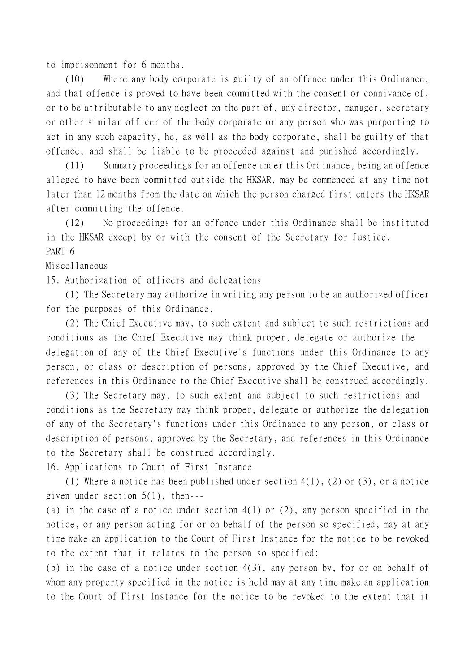to imprisonment for 6 months.

(10) Where any body corporate is guilty of an offence under this Ordinance, and that offence is proved to have been committed with the consent or connivance of, or to be attributable to any neglect on the part of, any director, manager, secretary or other similar officer of the body corporate or any person who was purporting to act in any such capacity, he, as well as the body corporate, shall be guilty of that offence, and shall be liable to be proceeded against and punished accordingly.

(11) Summary proceedings for an offence under this Ordinance, being an offence alleged to have been committed outside the HKSAR, may be commenced at any time not later than 12 months from the date on which the person charged first enters the HKSAR after committing the offence.

(12) No proceedings for an offence under this Ordinance shall be instituted in the HKSAR except by or with the consent of the Secretary for Justice. PART 6

## Miscellaneous

15. Authorization of officers and delegations

(1) The Secretary may authorize in writing any person to be an authorized officer for the purposes of this Ordinance.

(2) The Chief Executive may, to such extent and subject to such restrictions and conditions as the Chief Executive may think proper, delegate or authorize the delegation of any of the Chief Executive's functions under this Ordinance to any person, or class or description of persons, approved by the Chief Executive, and references in this Ordinance to the Chief Executive shall be construed accordingly.

(3) The Secretary may, to such extent and subject to such restrictions and conditions as the Secretary may think proper, delegate or authorize the delegation of any of the Secretary's functions under this Ordinance to any person, or class or description of persons, approved by the Secretary, and references in this Ordinance to the Secretary shall be construed accordingly.

16. Applications to Court of First Instance

(1) Where a notice has been published under section 4(1), (2) or (3), or a notice given under section 5(1), then---

(a) in the case of a notice under section 4(1) or (2), any person specified in the notice, or any person acting for or on behalf of the person so specified, may at any time make an application to the Court of First Instance for the notice to be revoked to the extent that it relates to the person so specified;

(b) in the case of a notice under section 4(3), any person by, for or on behalf of whom any property specified in the notice is held may at any time make an application to the Court of First Instance for the notice to be revoked to the extent that it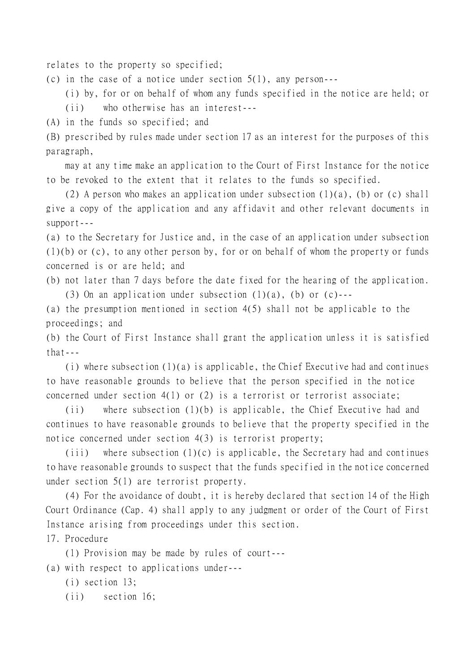relates to the property so specified;

(c) in the case of a notice under section 5(1), any person---

(i) by, for or on behalf of whom any funds specified in the notice are held; or

(ii) who otherwise has an interest---

(A) in the funds so specified; and

(B) prescribed by rules made under section 17 as an interest for the purposes of this paragraph,

may at any time make an application to the Court of First Instance for the notice to be revoked to the extent that it relates to the funds so specified.

(2) A person who makes an application under subsection (1)(a), (b) or (c) shall give a copy of the application and any affidavit and other relevant documents in support---

(a) to the Secretary for Justice and, in the case of an application under subsection (1)(b) or (c), to any other person by, for or on behalf of whom the property or funds concerned is or are held; and

(b) not later than 7 days before the date fixed for the hearing of the application. (3) On an application under subsection  $(1)(a)$ , (b) or  $(c)$ ---

(a) the presumption mentioned in section 4(5) shall not be applicable to the proceedings; and

(b) the Court of First Instance shall grant the application unless it is satisfied that---

(i) where subsection (1)(a) is applicable, the Chief Executive had and continues to have reasonable grounds to believe that the person specified in the notice concerned under section  $4(1)$  or (2) is a terrorist or terrorist associate;

(ii) where subsection (1)(b) is applicable, the Chief Executive had and continues to have reasonable grounds to believe that the property specified in the notice concerned under section 4(3) is terrorist property;

(iii) where subsection  $(1)(c)$  is applicable, the Secretary had and continues to have reasonable grounds to suspect that the funds specified in the notice concerned under section 5(1) are terrorist property.

(4) For the avoidance of doubt, it is hereby declared that section 14 of the High Court Ordinance (Cap. 4) shall apply to any judgment or order of the Court of First Instance arising from proceedings under this section.

17. Procedure

(1) Provision may be made by rules of court---

(a) with respect to applications under---

(i) section 13;

(ii) section 16;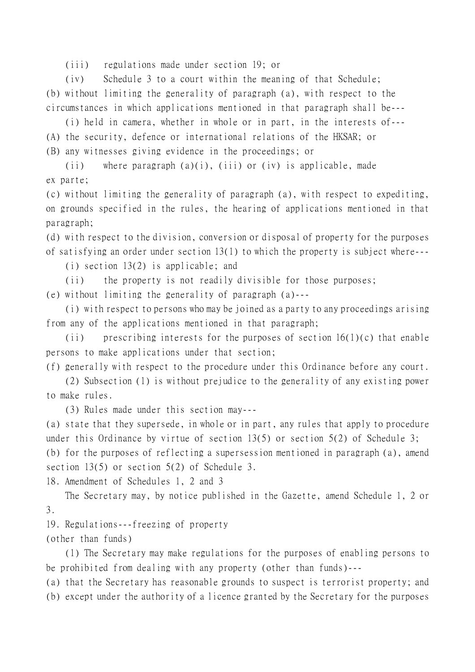(iii) regulations made under section 19; or

(iv) Schedule 3 to a court within the meaning of that Schedule;

(b) without limiting the generality of paragraph (a), with respect to the circumstances in which applications mentioned in that paragraph shall be---

(i) held in camera, whether in whole or in part, in the interests of---

(A) the security, defence or international relations of the HKSAR; or

(B) any witnesses giving evidence in the proceedings; or

(ii) where paragraph  $(a)(i)$ , (iii) or (iv) is applicable, made

ex parte;

(c) without limiting the generality of paragraph (a), with respect to expediting, on grounds specified in the rules, the hearing of applications mentioned in that paragraph;

(d) with respect to the division, conversion or disposal of property for the purposes of satisfying an order under section 13(1) to which the property is subject where---

(i) section 13(2) is applicable; and

(ii) the property is not readily divisible for those purposes;

(e) without limiting the generality of paragraph (a)---

(i) with respect to persons who may be joined as a party to any proceedings arising from any of the applications mentioned in that paragraph;

(ii) prescribing interests for the purposes of section  $16(1)(c)$  that enable persons to make applications under that section;

(f) generally with respect to the procedure under this Ordinance before any court.

(2) Subsection (1) is without prejudice to the generality of any existing power to make rules.

(3) Rules made under this section may---

(a) state that they supersede, in whole or in part, any rules that apply to procedure under this Ordinance by virtue of section 13(5) or section 5(2) of Schedule 3;

(b) for the purposes of reflecting a supersession mentioned in paragraph (a), amend section 13(5) or section 5(2) of Schedule 3.

18. Amendment of Schedules 1, 2 and 3

The Secretary may, by notice published in the Gazette, amend Schedule 1, 2 or 3.

19. Regulations---freezing of property

(other than funds)

(1) The Secretary may make regulations for the purposes of enabling persons to be prohibited from dealing with any property (other than funds)---

(a) that the Secretary has reasonable grounds to suspect is terrorist property; and (b) except under the authority of a licence granted by the Secretary for the purposes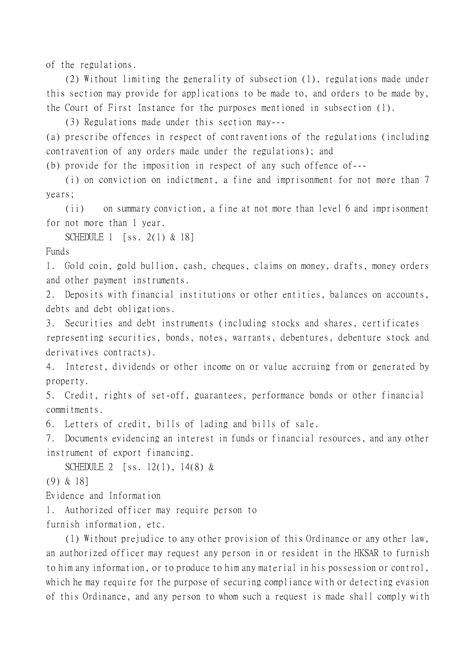of the regulations.

(2) Without limiting the generality of subsection (1), regulations made under this section may provide for applications to be made to, and orders to be made by, the Court of First Instance for the purposes mentioned in subsection (1).

(3) Regulations made under this section may---

(a) prescribe offences in respect of contraventions of the regulations (including contravention of any orders made under the regulations); and

(b) provide for the imposition in respect of any such offence of---

(i) on conviction on indictment, a fine and imprisonment for not more than 7 years;

(ii) on summary conviction, a fine at not more than level 6 and imprisonment for not more than 1 year.

SCHEDULE 1 [ss. 2(1) & 18]

Funds

1. Gold coin, gold bullion, cash, cheques, claims on money, drafts, money orders and other payment instruments.

2. Deposits with financial institutions or other entities, balances on accounts, debts and debt obligations.

3. Securities and debt instruments (including stocks and shares, certificates representing securities, bonds, notes, warrants, debentures, debenture stock and derivatives contracts).

4. Interest, dividends or other income on or value accruing from or generated by property.

5. Credit, rights of set-off, guarantees, performance bonds or other financial commitments.

6. Letters of credit, bills of lading and bills of sale.

7. Documents evidencing an interest in funds or financial resources, and any other instrument of export financing.

SCHEDULE 2 [ss. 12(1), 14(8) &

(9) & 18]

Evidence and Information

1. Authorized officer may require person to

furnish information, etc.

(1) Without prejudice to any other provision of this Ordinance or any other law, an authorized officer may request any person in or resident in the HKSAR to furnish to him any information, or to produce to him any material in his possession or control, which he may require for the purpose of securing compliance with or detecting evasion of this Ordinance, and any person to whom such a request is made shall comply with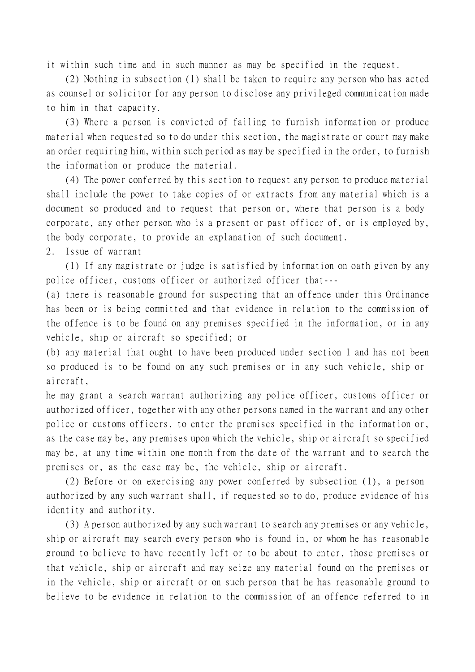it within such time and in such manner as may be specified in the request.

(2) Nothing in subsection (1) shall be taken to require any person who has acted as counsel or solicitor for any person to disclose any privileged communication made to him in that capacity.

(3) Where a person is convicted of failing to furnish information or produce material when requested so to do under this section, the magistrate or court may make an order requiring him, within such period as may be specified in the order, to furnish the information or produce the material.

(4) The power conferred by this section to request any person to produce material shall include the power to take copies of or extracts from any material which is a document so produced and to request that person or, where that person is a body corporate, any other person who is a present or past officer of, or is employed by, the body corporate, to provide an explanation of such document.

2. Issue of warrant

(1) If any magistrate or judge is satisfied by information on oath given by any police officer, customs officer or authorized officer that---

(a) there is reasonable ground for suspecting that an offence under this Ordinance has been or is being committed and that evidence in relation to the commission of the offence is to be found on any premises specified in the information, or in any vehicle, ship or aircraft so specified; or

(b) any material that ought to have been produced under section 1 and has not been so produced is to be found on any such premises or in any such vehicle, ship or aircraft,

he may grant a search warrant authorizing any police officer, customs officer or authorized officer, together with any other persons named in the warrant and any other police or customs officers, to enter the premises specified in the information or, as the case may be, any premises upon which the vehicle, ship or aircraft so specified may be, at any time within one month from the date of the warrant and to search the premises or, as the case may be, the vehicle, ship or aircraft.

(2) Before or on exercising any power conferred by subsection (1), a person authorized by any such warrant shall, if requested so to do, produce evidence of his identity and authority.

(3) A person authorized by any such warrant to search any premises or any vehicle, ship or aircraft may search every person who is found in, or whom he has reasonable ground to believe to have recently left or to be about to enter, those premises or that vehicle, ship or aircraft and may seize any material found on the premises or in the vehicle, ship or aircraft or on such person that he has reasonable ground to believe to be evidence in relation to the commission of an offence referred to in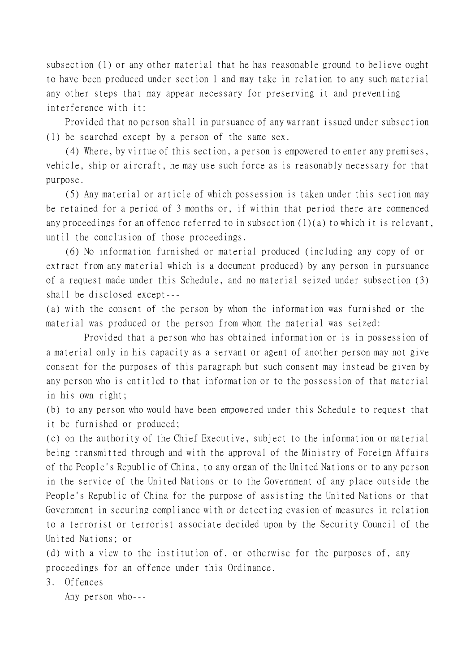subsection (1) or any other material that he has reasonable ground to believe ought to have been produced under section 1 and may take in relation to any such material any other steps that may appear necessary for preserving it and preventing interference with it:

Provided that no person shall in pursuance of any warrant issued under subsection (1) be searched except by a person of the same sex.

(4) Where, by virtue of this section, a person is empowered to enter any premises, vehicle, ship or aircraft, he may use such force as is reasonably necessary for that purpose.

(5) Any material or article of which possession is taken under this section may be retained for a period of 3 months or, if within that period there are commenced any proceedings for an offence referred to in subsection (1)(a) to which it is relevant, until the conclusion of those proceedings.

(6) No information furnished or material produced (including any copy of or extract from any material which is a document produced) by any person in pursuance of a request made under this Schedule, and no material seized under subsection (3) shall be disclosed except---

(a) with the consent of the person by whom the information was furnished or the material was produced or the person from whom the material was seized:

Provided that a person who has obtained information or is in possession of a material only in his capacity as a servant or agent of another person may not give consent for the purposes of this paragraph but such consent may instead be given by any person who is entitled to that information or to the possession of that material in his own right;

(b) to any person who would have been empowered under this Schedule to request that it be furnished or produced;

(c) on the authority of the Chief Executive, subject to the information or material being transmitted through and with the approval of the Ministry of Foreign Affairs of the People's Republic of China, to any organ of the United Nations or to any person in the service of the United Nations or to the Government of any place outside the People's Republic of China for the purpose of assisting the United Nations or that Government in securing compliance with or detecting evasion of measures in relation to a terrorist or terrorist associate decided upon by the Security Council of the United Nations; or

(d) with a view to the institution of, or otherwise for the purposes of, any proceedings for an offence under this Ordinance.

3. Offences

Any person who---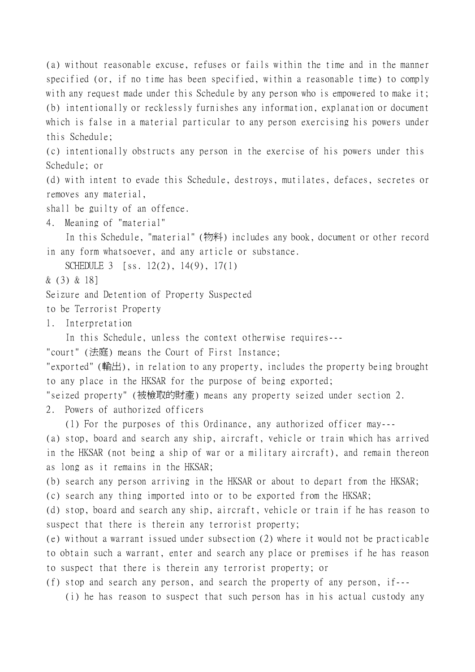(a) without reasonable excuse, refuses or fails within the time and in the manner specified (or, if no time has been specified, within a reasonable time) to comply with any request made under this Schedule by any person who is empowered to make it; (b) intentionally or recklessly furnishes any information, explanation or document which is false in a material particular to any person exercising his powers under this Schedule;

(c) intentionally obstructs any person in the exercise of his powers under this Schedule; or

(d) with intent to evade this Schedule, destroys, mutilates, defaces, secretes or removes any material,

shall be guilty of an offence.

4. Meaning of "material"

In this Schedule, "material" (物料) includes any book, document or other record in any form whatsoever, and any article or substance.

SCHEDULE 3 [ss. 12(2), 14(9), 17(1)

& (3) & 18]

Seizure and Detention of Property Suspected

to be Terrorist Property

1. Interpretation

In this Schedule, unless the context otherwise requires---

"court" (法庭) means the Court of First Instance;

"exported" (輸出), in relation to any property, includes the property being brought to any place in the HKSAR for the purpose of being exported;

"seized property" (被檢取的財產) means any property seized under section 2.

2. Powers of authorized officers

(1) For the purposes of this Ordinance, any authorized officer may---

(a) stop, board and search any ship, aircraft, vehicle or train which has arrived in the HKSAR (not being a ship of war or a military aircraft), and remain thereon as long as it remains in the HKSAR;

(b) search any person arriving in the HKSAR or about to depart from the HKSAR;

(c) search any thing imported into or to be exported from the HKSAR;

(d) stop, board and search any ship, aircraft, vehicle or train if he has reason to suspect that there is therein any terrorist property;

(e) without a warrant issued under subsection (2) where it would not be practicable to obtain such a warrant, enter and search any place or premises if he has reason to suspect that there is therein any terrorist property; or

(f) stop and search any person, and search the property of any person, if---

(i) he has reason to suspect that such person has in his actual custody any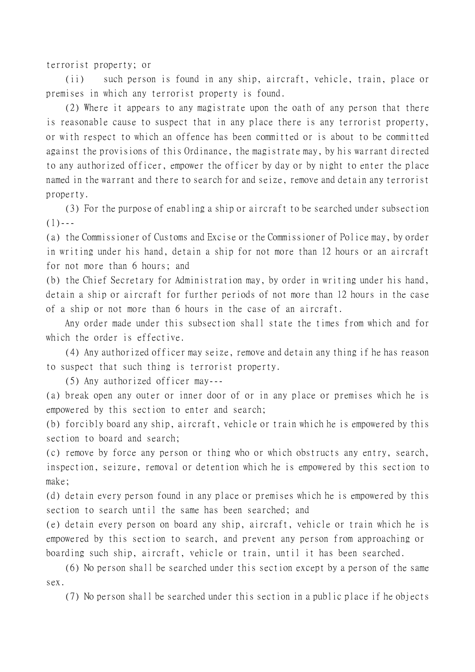terrorist property; or

(ii) such person is found in any ship, aircraft, vehicle, train, place or premises in which any terrorist property is found.

(2) Where it appears to any magistrate upon the oath of any person that there is reasonable cause to suspect that in any place there is any terrorist property, or with respect to which an offence has been committed or is about to be committed against the provisions of this Ordinance, the magistrate may, by his warrant directed to any authorized officer, empower the officer by day or by night to enter the place named in the warrant and there to search for and seize, remove and detain any terrorist property.

(3) For the purpose of enabling a ship or aircraft to be searched under subsection  $(1)$  - - -

(a) the Commissioner of Customs and Excise or the Commissioner of Police may, by order in writing under his hand, detain a ship for not more than 12 hours or an aircraft for not more than 6 hours; and

(b) the Chief Secretary for Administration may, by order in writing under his hand, detain a ship or aircraft for further periods of not more than 12 hours in the case of a ship or not more than 6 hours in the case of an aircraft.

Any order made under this subsection shall state the times from which and for which the order is effective.

(4) Any authorized officer may seize, remove and detain any thing if he has reason to suspect that such thing is terrorist property.

(5) Any authorized officer may---

(a) break open any outer or inner door of or in any place or premises which he is empowered by this section to enter and search;

(b) forcibly board any ship, aircraft, vehicle or train which he is empowered by this section to board and search;

(c) remove by force any person or thing who or which obstructs any entry, search, inspection, seizure, removal or detention which he is empowered by this section to make;

(d) detain every person found in any place or premises which he is empowered by this section to search until the same has been searched; and

(e) detain every person on board any ship, aircraft, vehicle or train which he is empowered by this section to search, and prevent any person from approaching or boarding such ship, aircraft, vehicle or train, until it has been searched.

(6) No person shall be searched under this section except by a person of the same sex.

(7) No person shall be searched under this section in a public place if he objects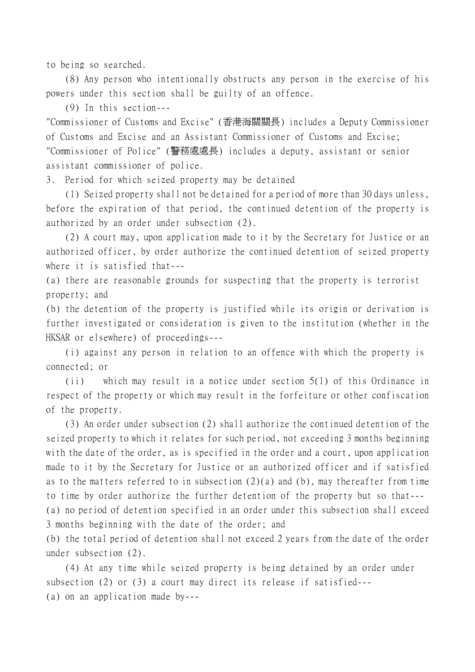to being so searched.

(8) Any person who intentionally obstructs any person in the exercise of his powers under this section shall be guilty of an offence.

(9) In this section---

"Commissioner of Customs and Excise" (香港海關關長) includes a Deputy Commissioner of Customs and Excise and an Assistant Commissioner of Customs and Excise; "Commissioner of Police" (警務處處長) includes a deputy, assistant or senior assistant commissioner of police.

3. Period for which seized property may be detained

(1) Seized property shall not be detained for a period of more than 30 days unless, before the expiration of that period, the continued detention of the property is authorized by an order under subsection (2).

(2) A court may, upon application made to it by the Secretary for Justice or an authorized officer, by order authorize the continued detention of seized property where it is satisfied that---

(a) there are reasonable grounds for suspecting that the property is terrorist property; and

(b) the detention of the property is justified while its origin or derivation is further investigated or consideration is given to the institution (whether in the HKSAR or elsewhere) of proceedings---

(i) against any person in relation to an offence with which the property is connected; or

(ii) which may result in a notice under section 5(1) of this Ordinance in respect of the property or which may result in the forfeiture or other confiscation of the property.

(3) An order under subsection (2) shall authorize the continued detention of the seized property to which it relates for such period, not exceeding 3 months beginning with the date of the order, as is specified in the order and a court, upon application made to it by the Secretary for Justice or an authorized officer and if satisfied as to the matters referred to in subsection (2)(a) and (b), may thereafter from time to time by order authorize the further detention of the property but so that--- (a) no period of detention specified in an order under this subsection shall exceed 3 months beginning with the date of the order; and

(b) the total period of detention shall not exceed 2 years from the date of the order under subsection (2).

(4) At any time while seized property is being detained by an order under subsection (2) or (3) a court may direct its release if satisfied--- (a) on an application made by---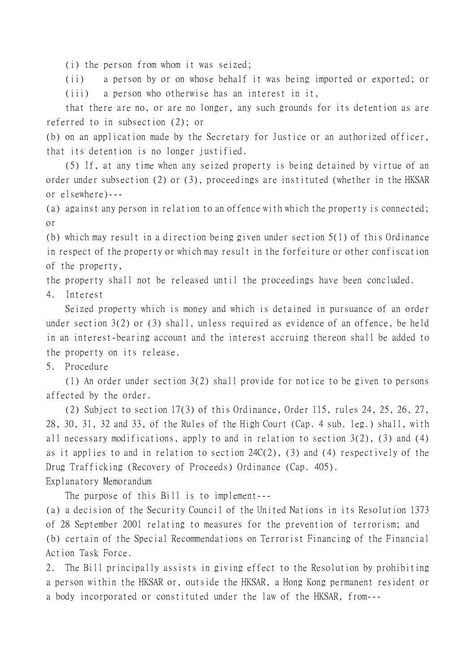(i) the person from whom it was seized;

(ii) a person by or on whose behalf it was being imported or exported; or (iii) a person who otherwise has an interest in it,

that there are no, or are no longer, any such grounds for its detention as are referred to in subsection (2); or

(b) on an application made by the Secretary for Justice or an authorized officer, that its detention is no longer justified.

(5) If, at any time when any seized property is being detained by virtue of an order under subsection (2) or (3), proceedings are instituted (whether in the HKSAR or elsewhere)---

(a) against any person in relation to an offence with which the property is connected; or

(b) which may result in a direction being given under section 5(1) of this Ordinance in respect of the property or which may result in the forfeiture or other confiscation of the property,

the property shall not be released until the proceedings have been concluded.

4. Interest

Seized property which is money and which is detained in pursuance of an order under section 3(2) or (3) shall, unless required as evidence of an offence, be held in an interest-bearing account and the interest accruing thereon shall be added to the property on its release.

5. Procedure

(1) An order under section 3(2) shall provide for notice to be given to persons affected by the order.

(2) Subject to section 17(3) of this Ordinance, Order 115, rules 24, 25, 26, 27, 28, 30, 31, 32 and 33, of the Rules of the High Court (Cap. 4 sub. leg.) shall, with all necessary modifications, apply to and in relation to section 3(2), (3) and (4) as it applies to and in relation to section 24C(2), (3) and (4) respectively of the Drug Trafficking (Recovery of Proceeds) Ordinance (Cap. 405). Explanatory Memorandum

The purpose of this Bill is to implement---

(a) a decision of the Security Council of the United Nations in its Resolution 1373 of 28 September 2001 relating to measures for the prevention of terrorism; and (b) certain of the Special Recommendations on Terrorist Financing of the Financial Action Task Force.

2. The Bill principally assists in giving effect to the Resolution by prohibiting a person within the HKSAR or, outside the HKSAR, a Hong Kong permanent resident or a body incorporated or constituted under the law of the HKSAR, from---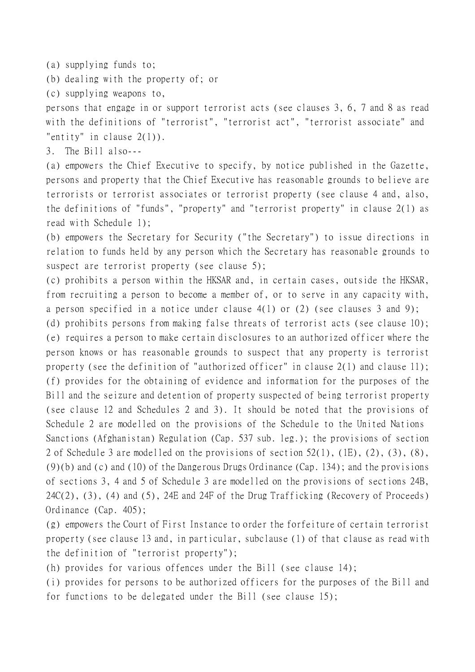(a) supplying funds to;

(b) dealing with the property of; or

(c) supplying weapons to,

persons that engage in or support terrorist acts (see clauses 3, 6, 7 and 8 as read with the definitions of "terrorist", "terrorist act", "terrorist associate" and "entity" in clause 2(1)).

3. The Bill also---

(a) empowers the Chief Executive to specify, by notice published in the Gazette, persons and property that the Chief Executive has reasonable grounds to believe are terrorists or terrorist associates or terrorist property (see clause 4 and, also, the definitions of "funds", "property" and "terrorist property" in clause 2(1) as read with Schedule 1);

(b) empowers the Secretary for Security ("the Secretary") to issue directions in relation to funds held by any person which the Secretary has reasonable grounds to suspect are terrorist property (see clause 5);

(c) prohibits a person within the HKSAR and, in certain cases, outside the HKSAR, from recruiting a person to become a member of, or to serve in any capacity with, a person specified in a notice under clause 4(1) or (2) (see clauses 3 and 9);

(d) prohibits persons from making false threats of terrorist acts (see clause 10); (e) requires a person to make certain disclosures to an authorized officer where the person knows or has reasonable grounds to suspect that any property is terrorist property (see the definition of "authorized officer" in clause 2(1) and clause 11); (f) provides for the obtaining of evidence and information for the purposes of the Bill and the seizure and detention of property suspected of being terrorist property (see clause 12 and Schedules 2 and 3). It should be noted that the provisions of Schedule 2 are modelled on the provisions of the Schedule to the United Nations Sanctions (Afghanistan) Regulation (Cap. 537 sub. leg.); the provisions of section 2 of Schedule 3 are modelled on the provisions of section 52(1), (1E), (2), (3), (8),  $(9)(b)$  and (c) and (10) of the Dangerous Drugs Ordinance (Cap. 134); and the provisions of sections 3, 4 and 5 of Schedule 3 are modelled on the provisions of sections 24B, 24C(2), (3), (4) and (5), 24E and 24F of the Drug Trafficking (Recovery of Proceeds) Ordinance (Cap. 405);

(g) empowers the Court of First Instance to order the forfeiture of certain terrorist property (see clause 13 and, in particular, subclause (1) of that clause as read with the definition of "terrorist property");

(h) provides for various offences under the Bill (see clause 14);

(i) provides for persons to be authorized officers for the purposes of the Bill and for functions to be delegated under the Bill (see clause 15);